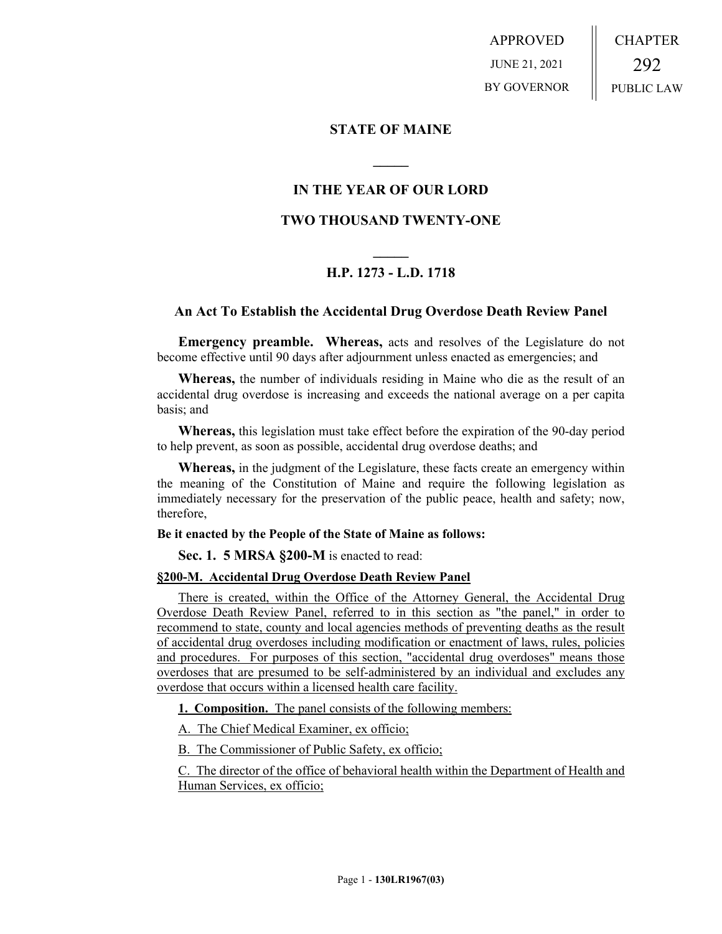APPROVED JUNE 21, 2021 BY GOVERNOR CHAPTER 292 PUBLIC LAW

## **STATE OF MAINE**

## **IN THE YEAR OF OUR LORD**

**\_\_\_\_\_**

## **TWO THOUSAND TWENTY-ONE**

# **\_\_\_\_\_ H.P. 1273 - L.D. 1718**

### **An Act To Establish the Accidental Drug Overdose Death Review Panel**

**Emergency preamble. Whereas,** acts and resolves of the Legislature do not become effective until 90 days after adjournment unless enacted as emergencies; and

**Whereas,** the number of individuals residing in Maine who die as the result of an accidental drug overdose is increasing and exceeds the national average on a per capita basis; and

**Whereas,** this legislation must take effect before the expiration of the 90-day period to help prevent, as soon as possible, accidental drug overdose deaths; and

**Whereas,** in the judgment of the Legislature, these facts create an emergency within the meaning of the Constitution of Maine and require the following legislation as immediately necessary for the preservation of the public peace, health and safety; now, therefore,

#### **Be it enacted by the People of the State of Maine as follows:**

**Sec. 1. 5 MRSA §200-M** is enacted to read:

## **§200-M. Accidental Drug Overdose Death Review Panel**

There is created, within the Office of the Attorney General, the Accidental Drug Overdose Death Review Panel, referred to in this section as "the panel," in order to recommend to state, county and local agencies methods of preventing deaths as the result of accidental drug overdoses including modification or enactment of laws, rules, policies and procedures. For purposes of this section, "accidental drug overdoses" means those overdoses that are presumed to be self-administered by an individual and excludes any overdose that occurs within a licensed health care facility.

**1. Composition.** The panel consists of the following members:

A. The Chief Medical Examiner, ex officio;

B. The Commissioner of Public Safety, ex officio;

C. The director of the office of behavioral health within the Department of Health and Human Services, ex officio;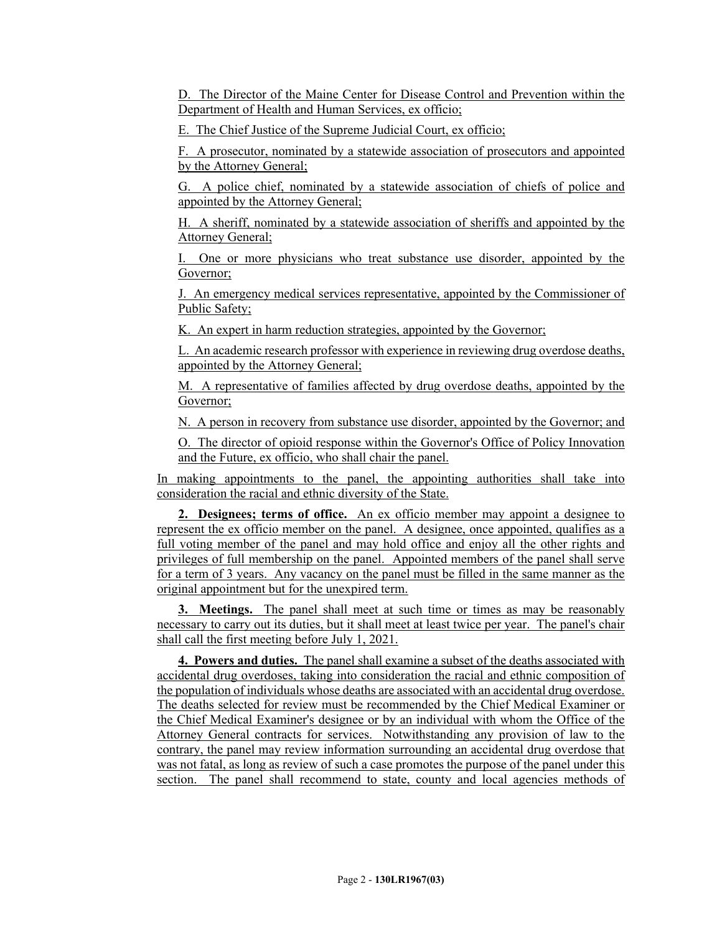D. The Director of the Maine Center for Disease Control and Prevention within the Department of Health and Human Services, ex officio;

E. The Chief Justice of the Supreme Judicial Court, ex officio;

F. A prosecutor, nominated by a statewide association of prosecutors and appointed by the Attorney General;

G. A police chief, nominated by a statewide association of chiefs of police and appointed by the Attorney General;

H. A sheriff, nominated by a statewide association of sheriffs and appointed by the Attorney General;

I. One or more physicians who treat substance use disorder, appointed by the Governor;

J. An emergency medical services representative, appointed by the Commissioner of Public Safety;

K. An expert in harm reduction strategies, appointed by the Governor;

L. An academic research professor with experience in reviewing drug overdose deaths, appointed by the Attorney General;

M. A representative of families affected by drug overdose deaths, appointed by the Governor;

N. A person in recovery from substance use disorder, appointed by the Governor; and

O. The director of opioid response within the Governor's Office of Policy Innovation and the Future, ex officio, who shall chair the panel.

In making appointments to the panel, the appointing authorities shall take into consideration the racial and ethnic diversity of the State.

**2. Designees; terms of office.** An ex officio member may appoint a designee to represent the ex officio member on the panel. A designee, once appointed, qualifies as a full voting member of the panel and may hold office and enjoy all the other rights and privileges of full membership on the panel. Appointed members of the panel shall serve for a term of 3 years. Any vacancy on the panel must be filled in the same manner as the original appointment but for the unexpired term.

**3. Meetings.** The panel shall meet at such time or times as may be reasonably necessary to carry out its duties, but it shall meet at least twice per year. The panel's chair shall call the first meeting before July 1, 2021.

**4. Powers and duties.** The panel shall examine a subset of the deaths associated with accidental drug overdoses, taking into consideration the racial and ethnic composition of the population of individuals whose deaths are associated with an accidental drug overdose. The deaths selected for review must be recommended by the Chief Medical Examiner or the Chief Medical Examiner's designee or by an individual with whom the Office of the Attorney General contracts for services. Notwithstanding any provision of law to the contrary, the panel may review information surrounding an accidental drug overdose that was not fatal, as long as review of such a case promotes the purpose of the panel under this section. The panel shall recommend to state, county and local agencies methods of